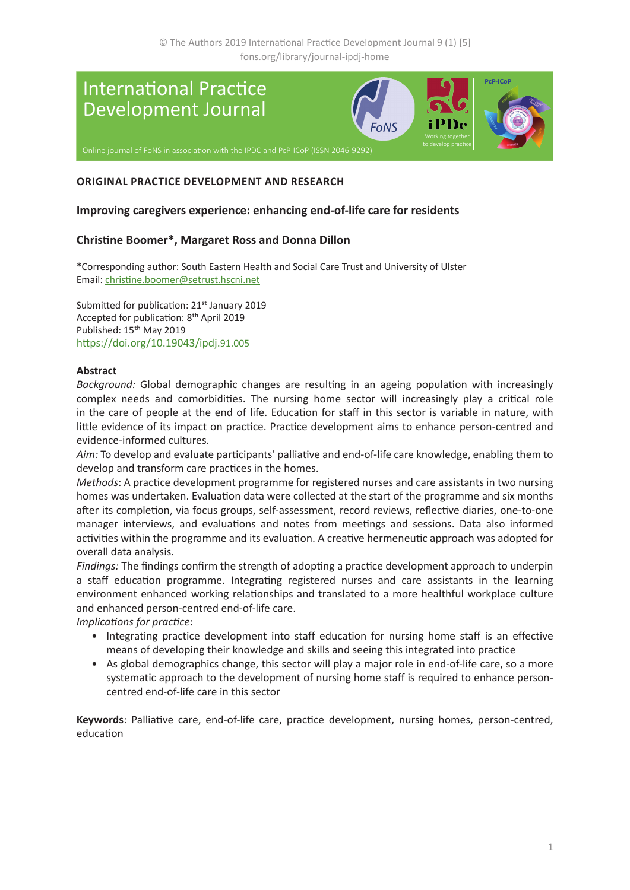

# **ORIGINAL PRACTICE DEVELOPMENT AND RESEARCH**

#### **Improving caregivers experience: enhancing end-of-life care for residents**

### **Christine Boomer\*, Margaret Ross and Donna Dillon**

\*Corresponding author: South Eastern Health and Social Care Trust and University of Ulster Email: [christine.boomer@setrust.hscni.net](mailto:christine.boomer%40setrust.hscni.net?subject=)

Submitted for publication: 21<sup>st</sup> January 2019 Accepted for publication: 8th April 2019 Published: 15<sup>th</sup> May 2019 [https://doi.org/10.19043/ipdj.](https://doi.org/10.19043/ipdj.91.005)91.005

#### **Abstract**

*Background:* Global demographic changes are resulting in an ageing population with increasingly complex needs and comorbidities. The nursing home sector will increasingly play a critical role in the care of people at the end of life. Education for staff in this sector is variable in nature, with little evidence of its impact on practice. Practice development aims to enhance person-centred and evidence-informed cultures.

*Aim:* To develop and evaluate participants' palliative and end-of-life care knowledge, enabling them to develop and transform care practices in the homes.

*Methods*: A practice development programme for registered nurses and care assistants in two nursing homes was undertaken. Evaluation data were collected at the start of the programme and six months after its completion, via focus groups, self-assessment, record reviews, reflective diaries, one-to-one manager interviews, and evaluations and notes from meetings and sessions. Data also informed activities within the programme and its evaluation. A creative hermeneutic approach was adopted for overall data analysis.

*Findings:* The findings confirm the strength of adopting a practice development approach to underpin a staff education programme. Integrating registered nurses and care assistants in the learning environment enhanced working relationships and translated to a more healthful workplace culture and enhanced person-centred end-of-life care.

*Implications for practice*:

- Integrating practice development into staff education for nursing home staff is an effective means of developing their knowledge and skills and seeing this integrated into practice
- As global demographics change, this sector will play a major role in end-of-life care, so a more systematic approach to the development of nursing home staff is required to enhance personcentred end-of-life care in this sector

**Keywords**: Palliative care, end-of-life care, practice development, nursing homes, person-centred, education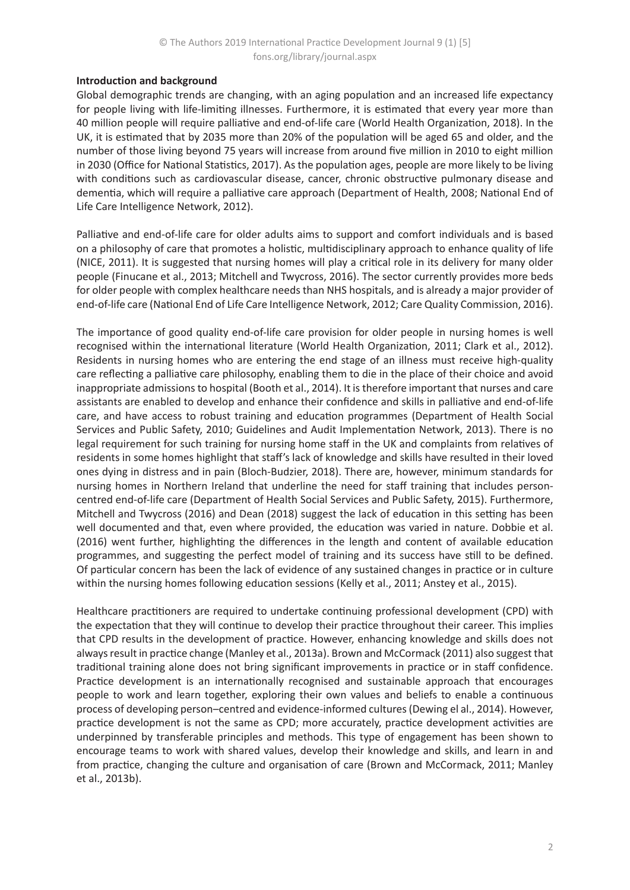### **Introduction and background**

Global demographic trends are changing, with an aging population and an increased life expectancy for people living with life-limiting illnesses. Furthermore, it is estimated that every year more than 40 million people will require palliative and end-of-life care (World Health Organization, 2018). In the UK, it is estimated that by 2035 more than 20% of the population will be aged 65 and older, and the number of those living beyond 75 years will increase from around five million in 2010 to eight million in 2030 (Office for National Statistics, 2017). As the population ages, people are more likely to be living with conditions such as cardiovascular disease, cancer, chronic obstructive pulmonary disease and dementia, which will require a palliative care approach (Department of Health, 2008; National End of Life Care Intelligence Network, 2012).

Palliative and end-of-life care for older adults aims to support and comfort individuals and is based on a philosophy of care that promotes a holistic, multidisciplinary approach to enhance quality of life (NICE, 2011). It is suggested that nursing homes will play a critical role in its delivery for many older people (Finucane et al., 2013; Mitchell and Twycross, 2016). The sector currently provides more beds for older people with complex healthcare needs than NHS hospitals, and is already a major provider of end-of-life care (National End of Life Care Intelligence Network, 2012; Care Quality Commission, 2016).

The importance of good quality end-of-life care provision for older people in nursing homes is well recognised within the international literature (World Health Organization, 2011; Clark et al., 2012). Residents in nursing homes who are entering the end stage of an illness must receive high-quality care reflecting a palliative care philosophy, enabling them to die in the place of their choice and avoid inappropriate admissions to hospital (Booth et al., 2014). It is therefore important that nurses and care assistants are enabled to develop and enhance their confidence and skills in palliative and end-of-life care, and have access to robust training and education programmes (Department of Health Social Services and Public Safety, 2010; Guidelines and Audit Implementation Network, 2013). There is no legal requirement for such training for nursing home staff in the UK and complaints from relatives of residents in some homes highlight that staff's lack of knowledge and skills have resulted in their loved ones dying in distress and in pain (Bloch-Budzier, 2018). There are, however, minimum standards for nursing homes in Northern Ireland that underline the need for staff training that includes personcentred end-of-life care (Department of Health Social Services and Public Safety, 2015). Furthermore, Mitchell and Twycross (2016) and Dean (2018) suggest the lack of education in this setting has been well documented and that, even where provided, the education was varied in nature. Dobbie et al. (2016) went further, highlighting the differences in the length and content of available education programmes, and suggesting the perfect model of training and its success have still to be defined. Of particular concern has been the lack of evidence of any sustained changes in practice or in culture within the nursing homes following education sessions (Kelly et al., 2011; Anstey et al., 2015).

Healthcare practitioners are required to undertake continuing professional development (CPD) with the expectation that they will continue to develop their practice throughout their career. This implies that CPD results in the development of practice. However, enhancing knowledge and skills does not always result in practice change (Manley et al., 2013a). Brown and McCormack (2011) also suggest that traditional training alone does not bring significant improvements in practice or in staff confidence. Practice development is an internationally recognised and sustainable approach that encourages people to work and learn together, exploring their own values and beliefs to enable a continuous process of developing person–centred and evidence-informed cultures (Dewing el al., 2014). However, practice development is not the same as CPD; more accurately, practice development activities are underpinned by transferable principles and methods. This type of engagement has been shown to encourage teams to work with shared values, develop their knowledge and skills, and learn in and from practice, changing the culture and organisation of care (Brown and McCormack, 2011; Manley et al., 2013b).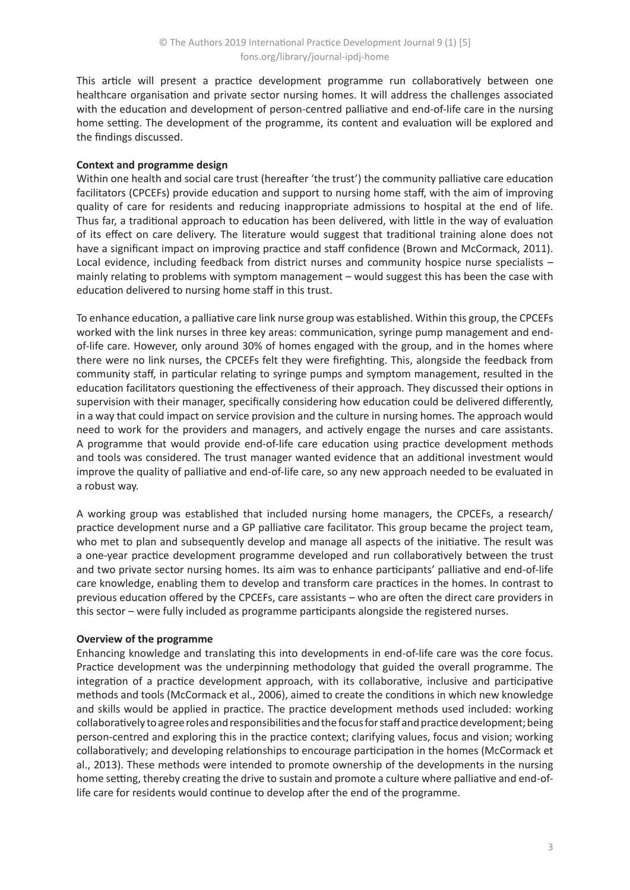This article will present a practice development programme run collaboratively between one healthcare organisation and private sector nursing homes. It will address the challenges associated with the education and development of person-centred palliative and end-of-life care in the nursing home setting. The development of the programme, its content and evaluation will be explored and the findings discussed.

# **Context and programme design**

Within one health and social care trust (hereafter 'the trust') the community palliative care education facilitators (CPCEFs) provide education and support to nursing home staff, with the aim of improving quality of care for residents and reducing inappropriate admissions to hospital at the end of life. Thus far, a traditional approach to education has been delivered, with little in the way of evaluation of its effect on care delivery. The literature would suggest that traditional training alone does not have a significant impact on improving practice and staff confidence (Brown and McCormack, 2011). Local evidence, including feedback from district nurses and community hospice nurse specialists – mainly relating to problems with symptom management – would suggest this has been the case with education delivered to nursing home staff in this trust.

To enhance education, a palliative care link nurse group was established. Within this group, the CPCEFs worked with the link nurses in three key areas: communication, syringe pump management and endof-life care. However, only around 30% of homes engaged with the group, and in the homes where there were no link nurses, the CPCEFs felt they were firefighting. This, alongside the feedback from community staff, in particular relating to syringe pumps and symptom management, resulted in the education facilitators questioning the effectiveness of their approach. They discussed their options in supervision with their manager, specifically considering how education could be delivered differently, in a way that could impact on service provision and the culture in nursing homes. The approach would need to work for the providers and managers, and actively engage the nurses and care assistants. A programme that would provide end-of-life care education using practice development methods and tools was considered. The trust manager wanted evidence that an additional investment would improve the quality of palliative and end-of-life care, so any new approach needed to be evaluated in a robust way.

A working group was established that included nursing home managers, the CPCEFs, a research/ practice development nurse and a GP palliative care facilitator. This group became the project team, who met to plan and subsequently develop and manage all aspects of the initiative. The result was a one-year practice development programme developed and run collaboratively between the trust and two private sector nursing homes. Its aim was to enhance participants' palliative and end-of-life care knowledge, enabling them to develop and transform care practices in the homes. In contrast to previous education offered by the CPCEFs, care assistants – who are often the direct care providers in this sector – were fully included as programme participants alongside the registered nurses.

### **Overview of the programme**

Enhancing knowledge and translating this into developments in end-of-life care was the core focus. Practice development was the underpinning methodology that guided the overall programme. The integration of a practice development approach, with its collaborative, inclusive and participative methods and tools (McCormack et al., 2006), aimed to create the conditions in which new knowledge and skills would be applied in practice. The practice development methods used included: working collaboratively to agree roles and responsibilities and the focus for staff and practice development; being person-centred and exploring this in the practice context; clarifying values, focus and vision; working collaboratively; and developing relationships to encourage participation in the homes (McCormack et al., 2013). These methods were intended to promote ownership of the developments in the nursing home setting, thereby creating the drive to sustain and promote a culture where palliative and end-oflife care for residents would continue to develop after the end of the programme.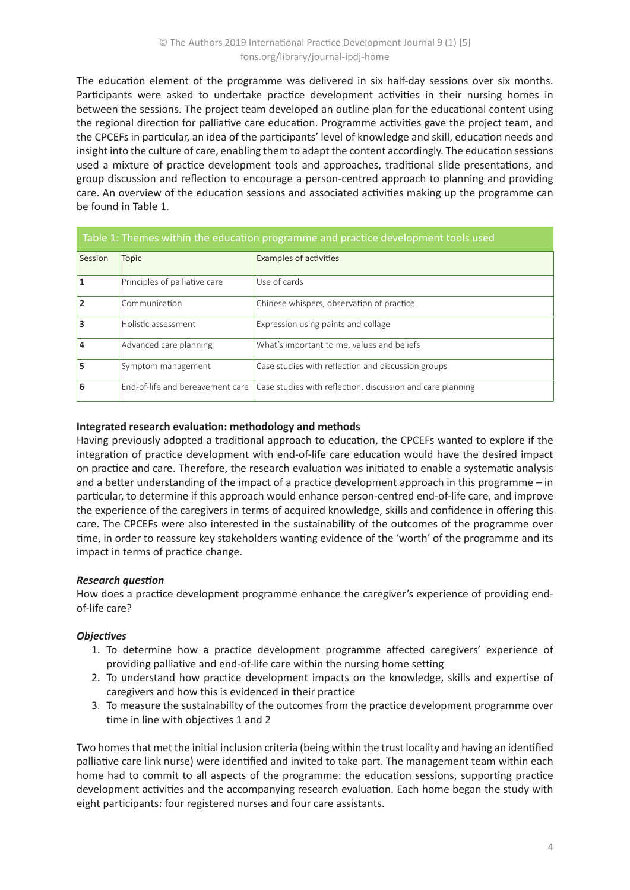The education element of the programme was delivered in six half-day sessions over six months. Participants were asked to undertake practice development activities in their nursing homes in between the sessions. The project team developed an outline plan for the educational content using the regional direction for palliative care education. Programme activities gave the project team, and the CPCEFs in particular, an idea of the participants' level of knowledge and skill, education needs and insight into the culture of care, enabling them to adapt the content accordingly. The education sessions used a mixture of practice development tools and approaches, traditional slide presentations, and group discussion and reflection to encourage a person-centred approach to planning and providing care. An overview of the education sessions and associated activities making up the programme can be found in Table 1.

| Table 1: Themes within the education programme and practice development tools used |                                  |                                                            |  |  |
|------------------------------------------------------------------------------------|----------------------------------|------------------------------------------------------------|--|--|
| Session                                                                            | <b>Topic</b>                     | Examples of activities                                     |  |  |
| 1                                                                                  | Principles of palliative care    | Use of cards                                               |  |  |
| $\overline{2}$                                                                     | Communication                    | Chinese whispers, observation of practice                  |  |  |
| $\overline{\mathbf{3}}$                                                            | Holistic assessment              | Expression using paints and collage                        |  |  |
| 4                                                                                  | Advanced care planning           | What's important to me, values and beliefs                 |  |  |
| 5                                                                                  | Symptom management               | Case studies with reflection and discussion groups         |  |  |
| 6                                                                                  | End-of-life and bereavement care | Case studies with reflection, discussion and care planning |  |  |

### **Integrated research evaluation: methodology and methods**

Having previously adopted a traditional approach to education, the CPCEFs wanted to explore if the integration of practice development with end-of-life care education would have the desired impact on practice and care. Therefore, the research evaluation was initiated to enable a systematic analysis and a better understanding of the impact of a practice development approach in this programme – in particular, to determine if this approach would enhance person-centred end-of-life care, and improve the experience of the caregivers in terms of acquired knowledge, skills and confidence in offering this care. The CPCEFs were also interested in the sustainability of the outcomes of the programme over time, in order to reassure key stakeholders wanting evidence of the 'worth' of the programme and its impact in terms of practice change.

# *Research question*

How does a practice development programme enhance the caregiver's experience of providing endof-life care?

# *Objectives*

- 1. To determine how a practice development programme affected caregivers' experience of providing palliative and end-of-life care within the nursing home setting
- 2. To understand how practice development impacts on the knowledge, skills and expertise of caregivers and how this is evidenced in their practice
- 3. To measure the sustainability of the outcomes from the practice development programme over time in line with objectives 1 and 2

Two homes that met the initial inclusion criteria (being within the trust locality and having an identified palliative care link nurse) were identified and invited to take part. The management team within each home had to commit to all aspects of the programme: the education sessions, supporting practice development activities and the accompanying research evaluation. Each home began the study with eight participants: four registered nurses and four care assistants.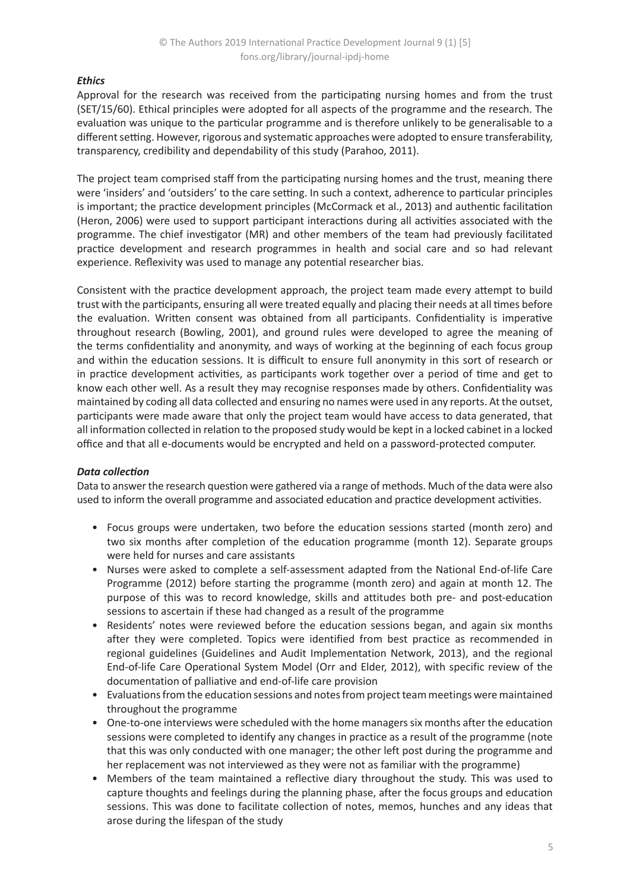# *Ethics*

Approval for the research was received from the participating nursing homes and from the trust (SET/15/60). Ethical principles were adopted for all aspects of the programme and the research. The evaluation was unique to the particular programme and is therefore unlikely to be generalisable to a different setting. However, rigorous and systematic approaches were adopted to ensure transferability, transparency, credibility and dependability of this study (Parahoo, 2011).

The project team comprised staff from the participating nursing homes and the trust, meaning there were 'insiders' and 'outsiders' to the care setting. In such a context, adherence to particular principles is important; the practice development principles (McCormack et al., 2013) and authentic facilitation (Heron, 2006) were used to support participant interactions during all activities associated with the programme. The chief investigator (MR) and other members of the team had previously facilitated practice development and research programmes in health and social care and so had relevant experience. Reflexivity was used to manage any potential researcher bias.

Consistent with the practice development approach, the project team made every attempt to build trust with the participants, ensuring all were treated equally and placing their needs at all times before the evaluation. Written consent was obtained from all participants. Confidentiality is imperative throughout research (Bowling, 2001), and ground rules were developed to agree the meaning of the terms confidentiality and anonymity, and ways of working at the beginning of each focus group and within the education sessions. It is difficult to ensure full anonymity in this sort of research or in practice development activities, as participants work together over a period of time and get to know each other well. As a result they may recognise responses made by others. Confidentiality was maintained by coding all data collected and ensuring no names were used in any reports. At the outset, participants were made aware that only the project team would have access to data generated, that all information collected in relation to the proposed study would be kept in a locked cabinet in a locked office and that all e-documents would be encrypted and held on a password-protected computer.

### *Data collection*

Data to answer the research question were gathered via a range of methods. Much of the data were also used to inform the overall programme and associated education and practice development activities.

- Focus groups were undertaken, two before the education sessions started (month zero) and two six months after completion of the education programme (month 12). Separate groups were held for nurses and care assistants
- Nurses were asked to complete a self-assessment adapted from the National End-of-life Care Programme (2012) before starting the programme (month zero) and again at month 12. The purpose of this was to record knowledge, skills and attitudes both pre- and post-education sessions to ascertain if these had changed as a result of the programme
- Residents' notes were reviewed before the education sessions began, and again six months after they were completed. Topics were identified from best practice as recommended in regional guidelines (Guidelines and Audit Implementation Network, 2013), and the regional End-of-life Care Operational System Model (Orr and Elder, 2012), with specific review of the documentation of palliative and end-of-life care provision
- Evaluations from the education sessions and notes from project team meetings were maintained throughout the programme
- One-to-one interviews were scheduled with the home managers six months after the education sessions were completed to identify any changes in practice as a result of the programme (note that this was only conducted with one manager; the other left post during the programme and her replacement was not interviewed as they were not as familiar with the programme)
- Members of the team maintained a reflective diary throughout the study. This was used to capture thoughts and feelings during the planning phase, after the focus groups and education sessions. This was done to facilitate collection of notes, memos, hunches and any ideas that arose during the lifespan of the study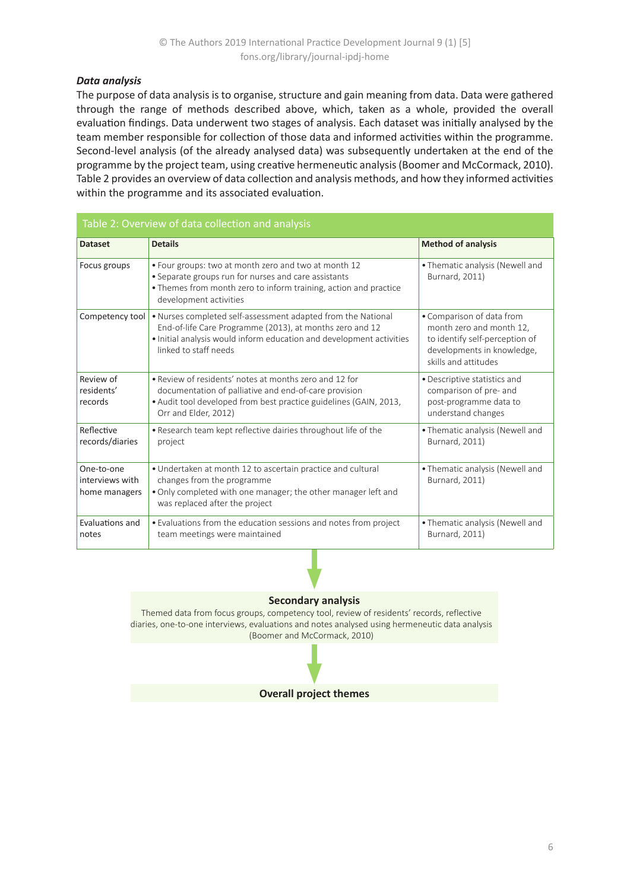### *Data analysis*

The purpose of data analysis is to organise, structure and gain meaning from data. Data were gathered through the range of methods described above, which, taken as a whole, provided the overall evaluation findings. Data underwent two stages of analysis. Each dataset was initially analysed by the team member responsible for collection of those data and informed activities within the programme. Second-level analysis (of the already analysed data) was subsequently undertaken at the end of the programme by the project team, using creative hermeneutic analysis (Boomer and McCormack, 2010). Table 2 provides an overview of data collection and analysis methods, and how they informed activities within the programme and its associated evaluation.

| Table 2: Overview of data collection and analysis |                                                                                                                                                                                                                           |                                                                                                                                               |  |  |
|---------------------------------------------------|---------------------------------------------------------------------------------------------------------------------------------------------------------------------------------------------------------------------------|-----------------------------------------------------------------------------------------------------------------------------------------------|--|--|
| <b>Dataset</b>                                    | <b>Details</b>                                                                                                                                                                                                            | <b>Method of analysis</b>                                                                                                                     |  |  |
| Focus groups                                      | • Four groups: two at month zero and two at month 12<br>• Separate groups run for nurses and care assistants<br>• Themes from month zero to inform training, action and practice<br>development activities                | • Thematic analysis (Newell and<br>Burnard, 2011)                                                                                             |  |  |
| Competency tool                                   | . Nurses completed self-assessment adapted from the National<br>End-of-life Care Programme (2013), at months zero and 12<br>. Initial analysis would inform education and development activities<br>linked to staff needs | • Comparison of data from<br>month zero and month 12,<br>to identify self-perception of<br>developments in knowledge,<br>skills and attitudes |  |  |
| Review of<br>residents'<br>records                | • Review of residents' notes at months zero and 12 for<br>documentation of palliative and end-of-care provision<br>· Audit tool developed from best practice guidelines (GAIN, 2013,<br>Orr and Elder, 2012)              | • Descriptive statistics and<br>comparison of pre- and<br>post-programme data to<br>understand changes                                        |  |  |
| Reflective<br>records/diaries                     | . Research team kept reflective dairies throughout life of the<br>project                                                                                                                                                 | • Thematic analysis (Newell and<br>Burnard, 2011)                                                                                             |  |  |
| One-to-one<br>interviews with<br>home managers    | • Undertaken at month 12 to ascertain practice and cultural<br>changes from the programme<br>. Only completed with one manager; the other manager left and<br>was replaced after the project                              | • Thematic analysis (Newell and<br>Burnard, 2011)                                                                                             |  |  |
| Evaluations and<br>notes                          | • Evaluations from the education sessions and notes from project<br>team meetings were maintained                                                                                                                         | • Thematic analysis (Newell and<br>Burnard, 2011)                                                                                             |  |  |

#### **Secondary analysis**

Themed data from focus groups, competency tool, review of residents' records, reflective diaries, one-to-one interviews, evaluations and notes analysed using hermeneutic data analysis (Boomer and McCormack, 2010)

### **Overall project themes**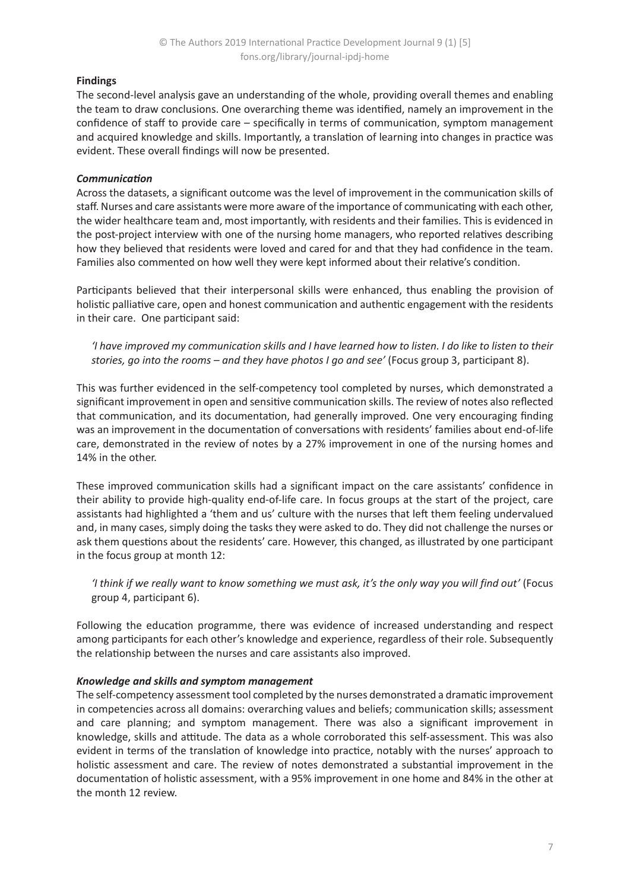# **Findings**

The second-level analysis gave an understanding of the whole, providing overall themes and enabling the team to draw conclusions. One overarching theme was identified, namely an improvement in the confidence of staff to provide care – specifically in terms of communication, symptom management and acquired knowledge and skills. Importantly, a translation of learning into changes in practice was evident. These overall findings will now be presented.

### *Communication*

Across the datasets, a significant outcome was the level of improvement in the communication skills of staff. Nurses and care assistants were more aware of the importance of communicating with each other, the wider healthcare team and, most importantly, with residents and their families. This is evidenced in the post-project interview with one of the nursing home managers, who reported relatives describing how they believed that residents were loved and cared for and that they had confidence in the team. Families also commented on how well they were kept informed about their relative's condition.

Participants believed that their interpersonal skills were enhanced, thus enabling the provision of holistic palliative care, open and honest communication and authentic engagement with the residents in their care. One participant said:

*'I have improved my communication skills and I have learned how to listen. I do like to listen to their stories, go into the rooms – and they have photos I go and see'* (Focus group 3, participant 8).

This was further evidenced in the self-competency tool completed by nurses, which demonstrated a significant improvement in open and sensitive communication skills. The review of notes also reflected that communication, and its documentation, had generally improved. One very encouraging finding was an improvement in the documentation of conversations with residents' families about end-of-life care, demonstrated in the review of notes by a 27% improvement in one of the nursing homes and 14% in the other.

These improved communication skills had a significant impact on the care assistants' confidence in their ability to provide high-quality end-of-life care. In focus groups at the start of the project, care assistants had highlighted a 'them and us' culture with the nurses that left them feeling undervalued and, in many cases, simply doing the tasks they were asked to do. They did not challenge the nurses or ask them questions about the residents' care. However, this changed, as illustrated by one participant in the focus group at month 12:

*'I think if we really want to know something we must ask, it's the only way you will find out'* (Focus group 4, participant 6).

Following the education programme, there was evidence of increased understanding and respect among participants for each other's knowledge and experience, regardless of their role. Subsequently the relationship between the nurses and care assistants also improved.

### *Knowledge and skills and symptom management*

The self-competency assessment tool completed by the nurses demonstrated a dramatic improvement in competencies across all domains: overarching values and beliefs; communication skills; assessment and care planning; and symptom management. There was also a significant improvement in knowledge, skills and attitude. The data as a whole corroborated this self-assessment. This was also evident in terms of the translation of knowledge into practice, notably with the nurses' approach to holistic assessment and care. The review of notes demonstrated a substantial improvement in the documentation of holistic assessment, with a 95% improvement in one home and 84% in the other at the month 12 review.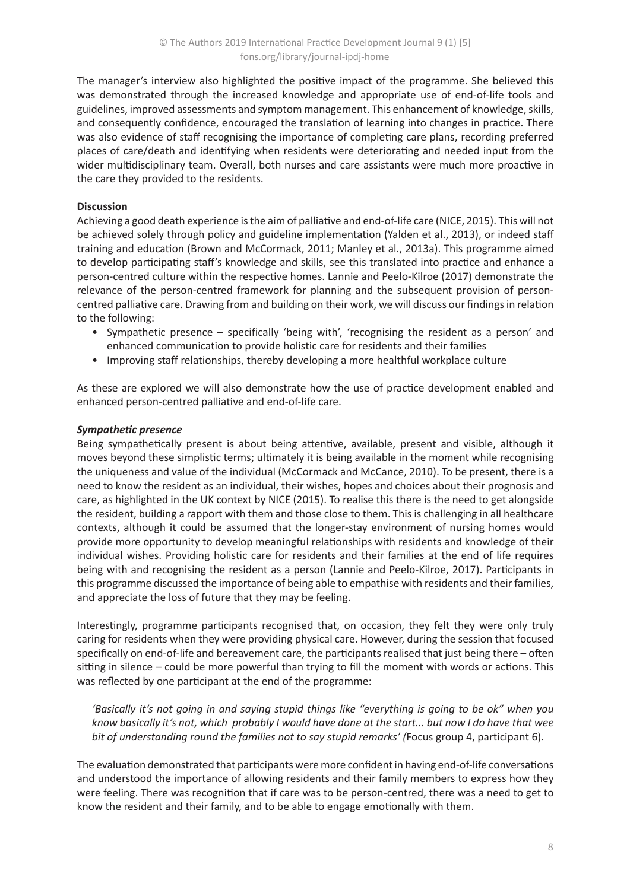The manager's interview also highlighted the positive impact of the programme. She believed this was demonstrated through the increased knowledge and appropriate use of end-of-life tools and guidelines, improved assessments and symptom management. This enhancement of knowledge, skills, and consequently confidence, encouraged the translation of learning into changes in practice. There was also evidence of staff recognising the importance of completing care plans, recording preferred places of care/death and identifying when residents were deteriorating and needed input from the wider multidisciplinary team. Overall, both nurses and care assistants were much more proactive in the care they provided to the residents.

# **Discussion**

Achieving a good death experience is the aim of palliative and end-of-life care (NICE, 2015). This will not be achieved solely through policy and guideline implementation (Yalden et al., 2013), or indeed staff training and education (Brown and McCormack, 2011; Manley et al., 2013a). This programme aimed to develop participating staff's knowledge and skills, see this translated into practice and enhance a person-centred culture within the respective homes. Lannie and Peelo-Kilroe (2017) demonstrate the relevance of the person-centred framework for planning and the subsequent provision of personcentred palliative care. Drawing from and building on their work, we will discuss our findings in relation to the following:

- Sympathetic presence specifically 'being with', 'recognising the resident as a person' and enhanced communication to provide holistic care for residents and their families
- Improving staff relationships, thereby developing a more healthful workplace culture

As these are explored we will also demonstrate how the use of practice development enabled and enhanced person-centred palliative and end-of-life care.

# *Sympathetic presence*

Being sympathetically present is about being attentive, available, present and visible, although it moves beyond these simplistic terms; ultimately it is being available in the moment while recognising the uniqueness and value of the individual (McCormack and McCance, 2010). To be present, there is a need to know the resident as an individual, their wishes, hopes and choices about their prognosis and care, as highlighted in the UK context by NICE (2015). To realise this there is the need to get alongside the resident, building a rapport with them and those close to them. This is challenging in all healthcare contexts, although it could be assumed that the longer-stay environment of nursing homes would provide more opportunity to develop meaningful relationships with residents and knowledge of their individual wishes. Providing holistic care for residents and their families at the end of life requires being with and recognising the resident as a person (Lannie and Peelo-Kilroe, 2017). Participants in this programme discussed the importance of being able to empathise with residents and their families, and appreciate the loss of future that they may be feeling.

Interestingly, programme participants recognised that, on occasion, they felt they were only truly caring for residents when they were providing physical care. However, during the session that focused specifically on end-of-life and bereavement care, the participants realised that just being there – often sitting in silence – could be more powerful than trying to fill the moment with words or actions. This was reflected by one participant at the end of the programme:

*'Basically it's not going in and saying stupid things like "everything is going to be ok" when you know basically it's not, which probably I would have done at the start... but now I do have that wee bit of understanding round the families not to say stupid remarks' (*Focus group 4, participant 6).

The evaluation demonstrated that participants were more confident in having end-of-life conversations and understood the importance of allowing residents and their family members to express how they were feeling. There was recognition that if care was to be person-centred, there was a need to get to know the resident and their family, and to be able to engage emotionally with them.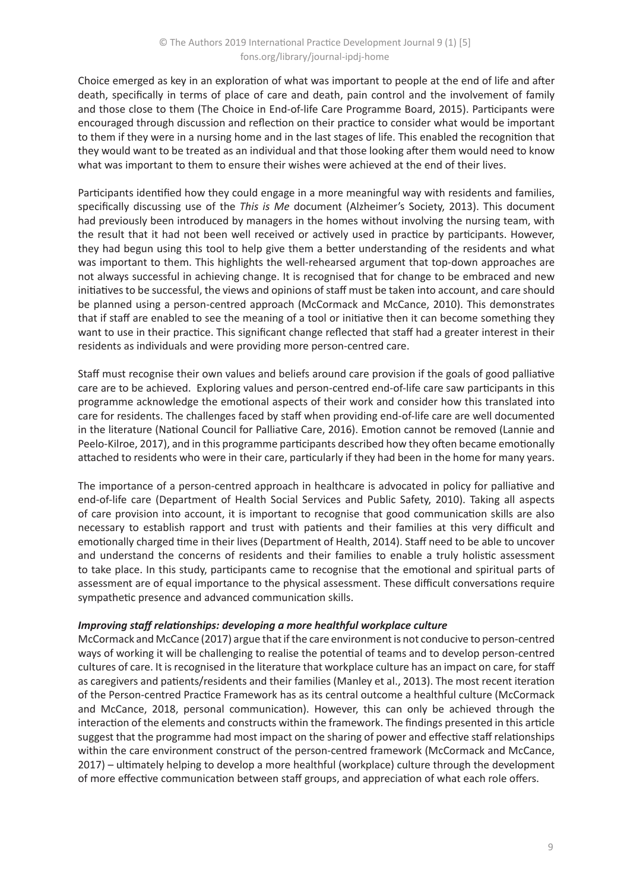Choice emerged as key in an exploration of what was important to people at the end of life and after death, specifically in terms of place of care and death, pain control and the involvement of family and those close to them (The Choice in End-of-life Care Programme Board, 2015). Participants were encouraged through discussion and reflection on their practice to consider what would be important to them if they were in a nursing home and in the last stages of life. This enabled the recognition that they would want to be treated as an individual and that those looking after them would need to know what was important to them to ensure their wishes were achieved at the end of their lives.

Participants identified how they could engage in a more meaningful way with residents and families, specifically discussing use of the *This is Me* document (Alzheimer's Society, 2013). This document had previously been introduced by managers in the homes without involving the nursing team, with the result that it had not been well received or actively used in practice by participants. However, they had begun using this tool to help give them a better understanding of the residents and what was important to them. This highlights the well-rehearsed argument that top-down approaches are not always successful in achieving change. It is recognised that for change to be embraced and new initiatives to be successful, the views and opinions of staff must be taken into account, and care should be planned using a person-centred approach (McCormack and McCance, 2010). This demonstrates that if staff are enabled to see the meaning of a tool or initiative then it can become something they want to use in their practice. This significant change reflected that staff had a greater interest in their residents as individuals and were providing more person-centred care.

Staff must recognise their own values and beliefs around care provision if the goals of good palliative care are to be achieved. Exploring values and person-centred end-of-life care saw participants in this programme acknowledge the emotional aspects of their work and consider how this translated into care for residents. The challenges faced by staff when providing end-of-life care are well documented in the literature (National Council for Palliative Care, 2016). Emotion cannot be removed (Lannie and Peelo-Kilroe, 2017), and in this programme participants described how they often became emotionally attached to residents who were in their care, particularly if they had been in the home for many years.

The importance of a person-centred approach in healthcare is advocated in policy for palliative and end-of-life care (Department of Health Social Services and Public Safety, 2010). Taking all aspects of care provision into account, it is important to recognise that good communication skills are also necessary to establish rapport and trust with patients and their families at this very difficult and emotionally charged time in their lives (Department of Health, 2014). Staff need to be able to uncover and understand the concerns of residents and their families to enable a truly holistic assessment to take place. In this study, participants came to recognise that the emotional and spiritual parts of assessment are of equal importance to the physical assessment. These difficult conversations require sympathetic presence and advanced communication skills.

# *Improving staff relationships: developing a more healthful workplace culture*

McCormack and McCance (2017) argue that if the care environment is not conducive to person-centred ways of working it will be challenging to realise the potential of teams and to develop person-centred cultures of care. It is recognised in the literature that workplace culture has an impact on care, for staff as caregivers and patients/residents and their families (Manley et al., 2013). The most recent iteration of the Person-centred Practice Framework has as its central outcome a healthful culture (McCormack and McCance, 2018, personal communication). However, this can only be achieved through the interaction of the elements and constructs within the framework. The findings presented in this article suggest that the programme had most impact on the sharing of power and effective staff relationships within the care environment construct of the person-centred framework (McCormack and McCance, 2017) – ultimately helping to develop a more healthful (workplace) culture through the development of more effective communication between staff groups, and appreciation of what each role offers.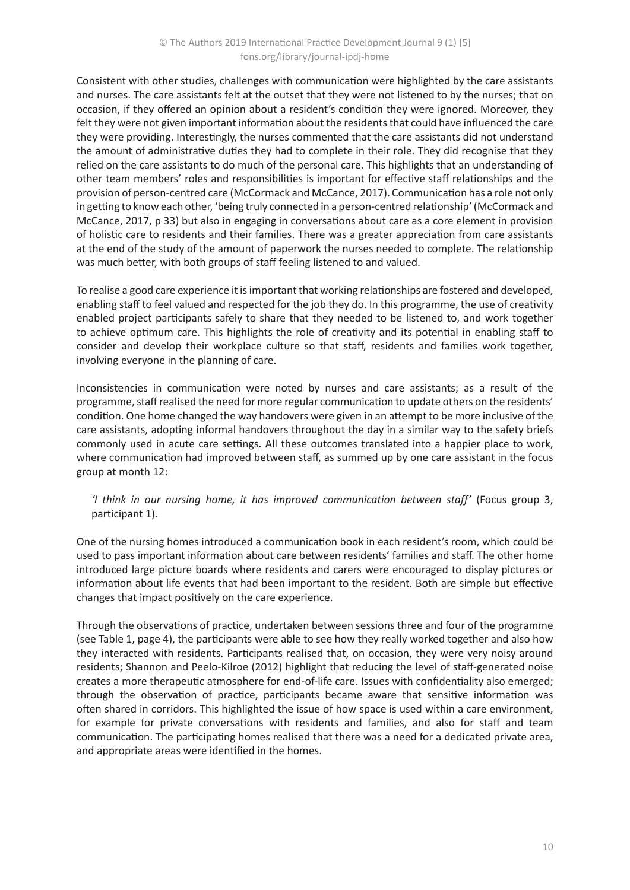Consistent with other studies, challenges with communication were highlighted by the care assistants and nurses. The care assistants felt at the outset that they were not listened to by the nurses; that on occasion, if they offered an opinion about a resident's condition they were ignored. Moreover, they felt they were not given important information about the residents that could have influenced the care they were providing. Interestingly, the nurses commented that the care assistants did not understand the amount of administrative duties they had to complete in their role. They did recognise that they relied on the care assistants to do much of the personal care. This highlights that an understanding of other team members' roles and responsibilities is important for effective staff relationships and the provision of person-centred care (McCormack and McCance, 2017). Communication has a role not only in getting to know each other, 'being truly connected in a person-centred relationship' (McCormack and McCance, 2017, p 33) but also in engaging in conversations about care as a core element in provision of holistic care to residents and their families. There was a greater appreciation from care assistants at the end of the study of the amount of paperwork the nurses needed to complete. The relationship was much better, with both groups of staff feeling listened to and valued.

To realise a good care experience it is important that working relationships are fostered and developed, enabling staff to feel valued and respected for the job they do. In this programme, the use of creativity enabled project participants safely to share that they needed to be listened to, and work together to achieve optimum care. This highlights the role of creativity and its potential in enabling staff to consider and develop their workplace culture so that staff, residents and families work together, involving everyone in the planning of care.

Inconsistencies in communication were noted by nurses and care assistants; as a result of the programme, staff realised the need for more regular communication to update others on the residents' condition. One home changed the way handovers were given in an attempt to be more inclusive of the care assistants, adopting informal handovers throughout the day in a similar way to the safety briefs commonly used in acute care settings. All these outcomes translated into a happier place to work, where communication had improved between staff, as summed up by one care assistant in the focus group at month 12:

# *'I think in our nursing home, it has improved communication between staff'* (Focus group 3, participant 1).

One of the nursing homes introduced a communication book in each resident's room, which could be used to pass important information about care between residents' families and staff. The other home introduced large picture boards where residents and carers were encouraged to display pictures or information about life events that had been important to the resident. Both are simple but effective changes that impact positively on the care experience.

Through the observations of practice, undertaken between sessions three and four of the programme (see Table 1, page 4), the participants were able to see how they really worked together and also how they interacted with residents. Participants realised that, on occasion, they were very noisy around residents; Shannon and Peelo-Kilroe (2012) highlight that reducing the level of staff-generated noise creates a more therapeutic atmosphere for end-of-life care. Issues with confidentiality also emerged; through the observation of practice, participants became aware that sensitive information was often shared in corridors. This highlighted the issue of how space is used within a care environment, for example for private conversations with residents and families, and also for staff and team communication. The participating homes realised that there was a need for a dedicated private area, and appropriate areas were identified in the homes.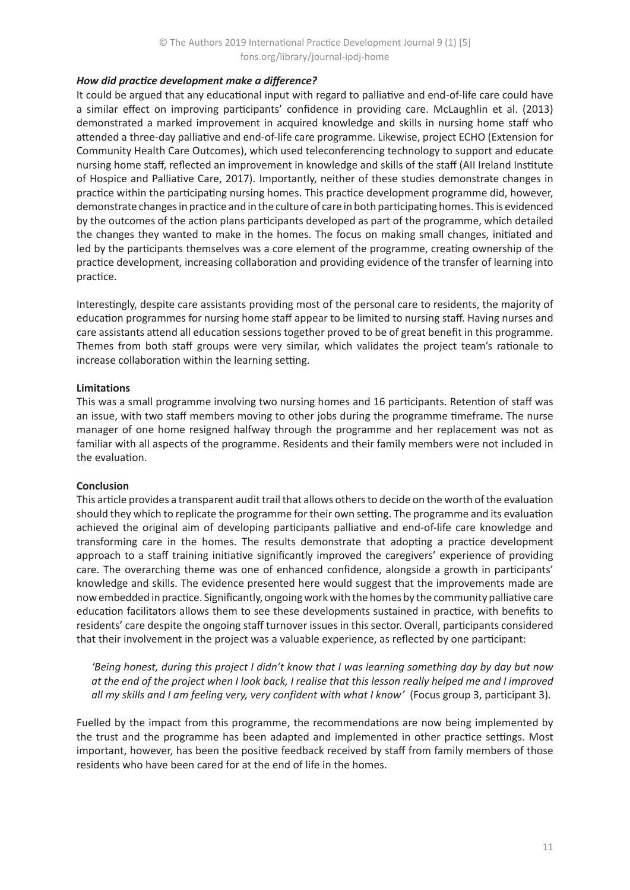### *How did practice development make a difference?*

It could be argued that any educational input with regard to palliative and end-of-life care could have a similar effect on improving participants' confidence in providing care. McLaughlin et al. (2013) demonstrated a marked improvement in acquired knowledge and skills in nursing home staff who attended a three-day palliative and end-of-life care programme. Likewise, project ECHO (Extension for Community Health Care Outcomes), which used teleconferencing technology to support and educate nursing home staff, reflected an improvement in knowledge and skills of the staff (AII Ireland Institute of Hospice and Palliative Care, 2017). Importantly, neither of these studies demonstrate changes in practice within the participating nursing homes. This practice development programme did, however, demonstrate changes in practice and in the culture of care in both participating homes. This is evidenced by the outcomes of the action plans participants developed as part of the programme, which detailed the changes they wanted to make in the homes. The focus on making small changes, initiated and led by the participants themselves was a core element of the programme, creating ownership of the practice development, increasing collaboration and providing evidence of the transfer of learning into practice.

Interestingly, despite care assistants providing most of the personal care to residents, the majority of education programmes for nursing home staff appear to be limited to nursing staff. Having nurses and care assistants attend all education sessions together proved to be of great benefit in this programme. Themes from both staff groups were very similar, which validates the project team's rationale to increase collaboration within the learning setting.

### **Limitations**

This was a small programme involving two nursing homes and 16 participants. Retention of staff was an issue, with two staff members moving to other jobs during the programme timeframe. The nurse manager of one home resigned halfway through the programme and her replacement was not as familiar with all aspects of the programme. Residents and their family members were not included in the evaluation.

### **Conclusion**

This article provides a transparent audit trail that allows others to decide on the worth of the evaluation should they which to replicate the programme for their own setting. The programme and its evaluation achieved the original aim of developing participants palliative and end-of-life care knowledge and transforming care in the homes. The results demonstrate that adopting a practice development approach to a staff training initiative significantly improved the caregivers' experience of providing care. The overarching theme was one of enhanced confidence, alongside a growth in participants' knowledge and skills. The evidence presented here would suggest that the improvements made are now embedded in practice. Significantly, ongoing work with the homes by the community palliative care education facilitators allows them to see these developments sustained in practice, with benefits to residents' care despite the ongoing staff turnover issues in this sector. Overall, participants considered that their involvement in the project was a valuable experience, as reflected by one participant:

*'Being honest, during this project I didn't know that I was learning something day by day but now at the end of the project when I look back, I realise that this lesson really helped me and I improved all my skills and I am feeling very, very confident with what I know'* (Focus group 3, participant 3)*.*

Fuelled by the impact from this programme, the recommendations are now being implemented by the trust and the programme has been adapted and implemented in other practice settings. Most important, however, has been the positive feedback received by staff from family members of those residents who have been cared for at the end of life in the homes.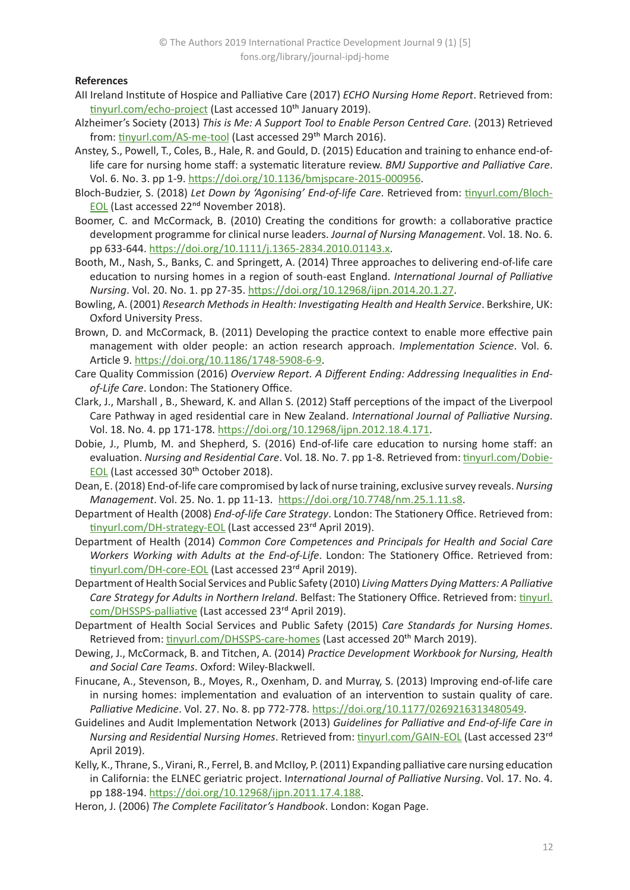### **References**

- AII Ireland Institute of Hospice and Palliative Care (2017) *ECHO Nursing Home Report*. Retrieved from: [tinyurl.com/echo-project](https://tinyurl.com/echo-project) (Last accessed 10<sup>th</sup> January 2019).
- Alzheimer's Society (2013) *This is Me: A Support Tool to Enable Person Centred Care.* (2013) Retrieved from: [tinyurl.com/AS-me-tool](https://tinyurl.com/AS-me-tool) (Last accessed 29<sup>th</sup> March 2016).
- Anstey, S., Powell, T., Coles, B., Hale, R. and Gould, D. (2015) Education and training to enhance end-oflife care for nursing home staff: a systematic literature review. *BMJ Supportive and Palliative Care*. Vol. 6. No. 3. pp 1-9. [https://doi.org/10.1136/bmjspcare-2015-000956](https://dx.doi.org/10.1136%2Fbmjspcare-2015-000956).
- Bloch-Budzier, S. (2018) *Let Down by 'Agonising' End-of-life Care*. Retrieved from: [tinyurl.com/Bloch-](https://tinyurl.com/Bloch-EOL)**[EOL](https://tinyurl.com/Bloch-EOL)** (Last accessed 22<sup>nd</sup> November 2018).
- Boomer, C. and McCormack, B. (2010) Creating the conditions for growth: a collaborative practice development programme for clinical nurse leaders. *Journal of Nursing Management*. Vol. 18. No. 6. pp 633-644.<https://doi.org/10.1111/j.1365-2834.2010.01143.x>.
- Booth, M., Nash, S., Banks, C. and Springett, A. (2014) Three approaches to delivering end-of-life care education to nursing homes in a region of south-east England. *International Journal of Palliative Nursing*. Vol. 20. No. 1. pp 27-35. <https://doi.org/10.12968/ijpn.2014.20.1.27>.
- Bowling, A. (2001) *Research Methods in Health: Investigating Health and Health Service*. Berkshire, UK: Oxford University Press.
- Brown, D. and McCormack, B. (2011) Developing the practice context to enable more effective pain management with older people: an action research approach. *Implementation Science*. Vol. 6. Article 9.<https://doi.org/10.1186/1748-5908-6-9>.
- Care Quality Commission (2016) *Overview Report. A Different Ending: Addressing Inequalities in Endof-Life Care*. London: The Stationery Office.
- Clark, J., Marshall , B., Sheward, K. and Allan S. (2012) Staff perceptions of the impact of the Liverpool Care Pathway in aged residential care in New Zealand. *International Journal of Palliative Nursing*. Vol. 18. No. 4. pp 171-178. <https://doi.org/10.12968/ijpn.2012.18.4.171>.
- Dobie, J., Plumb, M. and Shepherd, S. (2016) End-of-life care education to nursing home staff: an evaluation. *Nursing and Residential Care*. Vol. 18. No. 7. pp 1-8. Retrieved from: [tinyurl.com/Dobie-](https://tinyurl.com/Dobie-EOL)[EOL](https://tinyurl.com/Dobie-EOL) (Last accessed 30th October 2018).
- Dean, E. (2018) End-of-life care compromised by lack of nurse training, exclusive survey reveals. *Nursing Management*. Vol. 25. No. 1. pp 11-13. <https://doi.org/10.7748/nm.25.1.11.s8>.
- Department of Health (2008) *End-of-life Care Strategy*. London: The Stationery Office. Retrieved from: [tinyurl.com/DH-strategy-EOL](https://tinyurl.com/DH-strategy-EOL) (Last accessed 23rd April 2019).
- Department of Health (2014) *Common Core Competences and Principals for Health and Social Care Workers Working with Adults at the End-of-Life*. London: The Stationery Office. Retrieved from: [tinyurl.com/DH-core-EOL](https://tinyurl.com/DH-core-EOL) (Last accessed 23rd April 2019).
- Department of Health Social Services and Public Safety (2010) *Living Matters Dying Matters: A Palliative Care Strategy for Adults in Northern Ireland*. Belfast: The Stationery Office. Retrieved from: [tinyurl.](https://tinyurl.com/DHSSPS-palliative) [com/DHSSPS-palliative](https://tinyurl.com/DHSSPS-palliative) (Last accessed 23rd April 2019).
- Department of Health Social Services and Public Safety (2015) *Care Standards for Nursing Homes*. Retrieved from: [tinyurl.com/DHSSPS-care-homes](https://tinyurl.com/DHSSPS-care-homes) (Last accessed 20<sup>th</sup> March 2019).
- Dewing, J., McCormack, B. and Titchen, A. (2014) *Practice Development Workbook for Nursing, Health and Social Care Teams*. Oxford: Wiley-Blackwell.
- Finucane, A., Stevenson, B., Moyes, R., Oxenham, D. and Murray, S. (2013) Improving end-of-life care in nursing homes: implementation and evaluation of an intervention to sustain quality of care. *Palliative Medicine*. Vol. 27. No. 8. pp 772-778.<https://doi.org/10.1177/0269216313480549>.
- Guidelines and Audit Implementation Network (2013) *Guidelines for Palliative and End-of-life Care in Nursing and Residential Nursing Homes*. Retrieved from: [tinyurl.com/GAIN-EOL](https://tinyurl.com/GAIN-EOL) (Last accessed 23rd April 2019).
- Kelly, K., Thrane, S., Virani, R., Ferrel, B. and McIIoy, P. (2011) Expanding palliative care nursing education in California: the ELNEC geriatric project. I*nternational Journal of Palliative Nursing*. Vol. 17. No. 4. pp 188-194.<https://doi.org/10.12968/ijpn.2011.17.4.188>.
- Heron, J. (2006) *The Complete Facilitator's Handbook*. London: Kogan Page.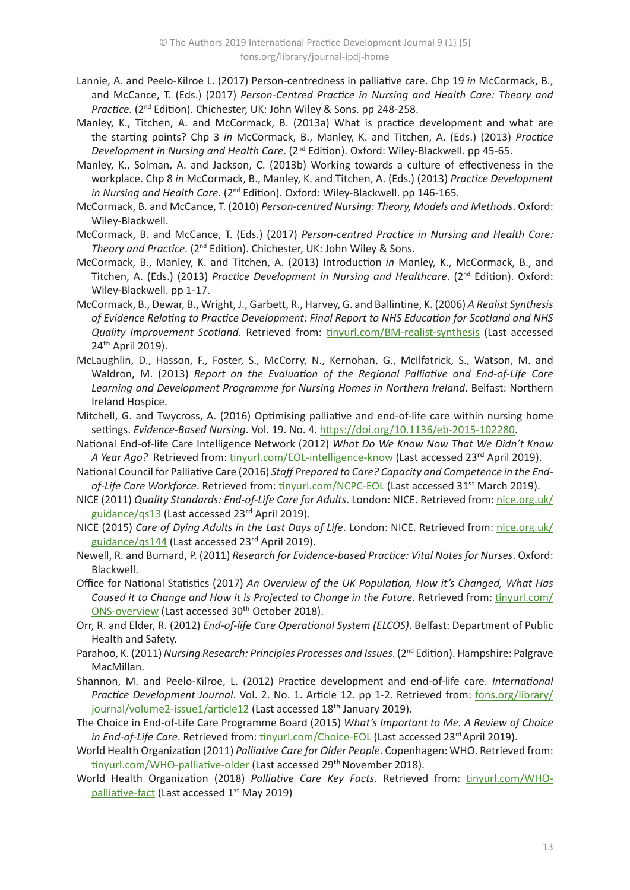- Lannie, A. and Peelo-Kilroe L. (2017) Person-centredness in palliative care. Chp 19 *in* McCormack, B., and McCance, T. (Eds.) (2017) *Person-Centred Practice in Nursing and Health Care: Theory and Practice*. (2nd Edition). Chichester, UK: John Wiley & Sons. pp 248-258.
- Manley, K., Titchen, A. and McCormack, B. (2013a) What is practice development and what are the starting points? Chp 3 *in* McCormack, B., Manley, K. and Titchen, A. (Eds.) (2013) *Practice Development in Nursing and Health Care*. (2nd Edition). Oxford: Wiley-Blackwell. pp 45-65.
- Manley, K., Solman, A. and Jackson, C. (2013b) Working towards a culture of effectiveness in the workplace. Chp 8 *in* McCormack, B., Manley, K. and Titchen, A. (Eds.) (2013) *Practice Development in Nursing and Health Care*. (2nd Edition). Oxford: Wiley-Blackwell. pp 146-165.
- McCormack, B. and McCance, T. (2010) *Person-centred Nursing: Theory, Models and Methods*. Oxford: Wiley-Blackwell.
- McCormack, B. and McCance, T. (Eds.) (2017) *Person-centred Practice in Nursing and Health Care: Theory and Practice*. (2nd Edition). Chichester, UK: John Wiley & Sons.
- McCormack, B., Manley, K. and Titchen, A. (2013) Introduction *in* Manley, K., McCormack, B., and Titchen, A. (Eds.) (2013) *Practice Development in Nursing and Healthcare*. (2<sup>nd</sup> Edition). Oxford: Wiley-Blackwell. pp 1-17.
- McCormack, B., Dewar, B., Wright, J., Garbett, R., Harvey, G. and Ballintine, K. (2006) *A Realist Synthesis of Evidence Relating to Practice Development: Final Report to NHS Education for Scotland and NHS Quality Improvement Scotland*. Retrieved from: [tinyurl.com/BM-realist-synthesis](https://tinyurl.com/BM-realist-synthesis) (Last accessed 24th April 2019).
- McLaughlin, D., Hasson, F., Foster, S., McCorry, N., Kernohan, G., McIlfatrick, S., Watson, M. and Waldron, M. (2013) *Report on the Evaluation of the Regional Palliative and End-of-Life Care Learning and Development Programme for Nursing Homes in Northern Ireland*. Belfast: Northern Ireland Hospice.
- Mitchell, G. and Twycross, A. (2016) Optimising palliative and end-of-life care within nursing home settings. *Evidence-Based Nursing*. Vol. 19. No. 4.<https://doi.org/10.1136/eb-2015-102280>.
- National End-of-life Care Intelligence Network (2012) *What Do We Know Now That We Didn't Know A Year Ago?* Retrieved from: [tinyurl.com/EOL-intelligence-know](https://tinyurl.com/EOL-intelligence-know) (Last accessed 23<sup>rd</sup> April 2019).
- National Council for Palliative Care (2016) *Staff Prepared to Care? Capacity and Competence in the End*of-Life Care Workforce. Retrieved from: [tinyurl.com/NCPC-EOL](https://tinyurl.com/NCPC-EOL) (Last accessed 31<sup>st</sup> March 2019).
- NICE (2011) *Quality Standards: End-of-Life Care for Adults*. London: NICE. Retrieved from: [nice.org.uk/](https://www.nice.org.uk/guidance/qs13) [guidance/qs13](https://www.nice.org.uk/guidance/qs13) (Last accessed 23rd April 2019).
- NICE (2015) *Care of Dying Adults in the Last Days of Life*. London: NICE. Retrieved from: [nice.org.uk/](https://www.nice.org.uk/guidance/qs144) [guidance/qs144](https://www.nice.org.uk/guidance/qs144) (Last accessed 23rd April 2019).
- Newell, R. and Burnard, P. (2011) *Research for Evidence-based Practice: Vital Notes for Nurses*. Oxford: Blackwell.
- Office for National Statistics (2017) *An Overview of the UK Population, How it's Changed, What Has Caused it to Change and How it is Projected to Change in the Future*. Retrieved from: [tinyurl.com/](https://tinyurl.com/ONS-overview) [ONS-overview](https://tinyurl.com/ONS-overview) (Last accessed 30<sup>th</sup> October 2018).
- Orr, R. and Elder, R. (2012) *End-of-life Care Operational System (ELCOS)*. Belfast: Department of Public Health and Safety.
- Parahoo, K. (2011) *Nursing Research: Principles Processes and Issues*. (2<sup>nd</sup> Edition). Hampshire: Palgrave MacMillan.
- Shannon, M. and Peelo-Kilroe, L. (2012) Practice development and end-of-life care. *International Practice Development Journal*. Vol. 2. No. 1. Article 12. pp 1-2. Retrieved from: [fons.org/library/](https://www.fons.org/library/journal/volume2-issue1/article12) [journal/volume2-issue1/article12](https://www.fons.org/library/journal/volume2-issue1/article12) (Last accessed 18<sup>th</sup> January 2019).
- The Choice in End-of-Life Care Programme Board (2015) *What's Important to Me. A Review of Choice*  in End-of-Life Care. Retrieved from: tinyurl.com/Choice-EOL (Last accessed 23<sup>rd</sup> April 2019).
- World Health Organization (2011) *Palliative Care for Older People*. Copenhagen: WHO. Retrieved from: [tinyurl.com/WHO-palliative-older](https://tinyurl.com/WHO-palliative-older) (Last accessed 29<sup>th</sup> November 2018).
- World Health Organization (2018) *Palliative Care Key Facts*. Retrieved from: [tinyurl.com/WHO](https://tinyurl.com/WHO-palliative-fact)[palliative-fact](https://tinyurl.com/WHO-palliative-fact) (Last accessed 1<sup>st</sup> May 2019)